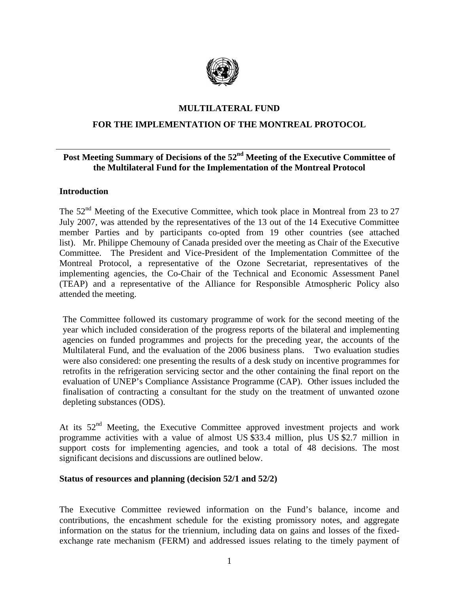

#### **MULTILATERAL FUND**

# **FOR THE IMPLEMENTATION OF THE MONTREAL PROTOCOL**

# **Post Meeting Summary of Decisions of the 52nd Meeting of the Executive Committee of the Multilateral Fund for the Implementation of the Montreal Protocol**

#### **Introduction**

The  $52<sup>nd</sup>$  Meeting of the Executive Committee, which took place in Montreal from 23 to 27 July 2007, was attended by the representatives of the 13 out of the 14 Executive Committee member Parties and by participants co-opted from 19 other countries (see attached list). Mr. Philippe Chemouny of Canada presided over the meeting as Chair of the Executive Committee. The President and Vice-President of the Implementation Committee of the Montreal Protocol, a representative of the Ozone Secretariat*,* representatives of the implementing agencies, the Co-Chair of the Technical and Economic Assessment Panel (TEAP) and a representative of the Alliance for Responsible Atmospheric Policy also attended the meeting.

The Committee followed its customary programme of work for the second meeting of the year which included consideration of the progress reports of the bilateral and implementing agencies on funded programmes and projects for the preceding year, the accounts of the Multilateral Fund, and the evaluation of the 2006 business plans. Two evaluation studies were also considered: one presenting the results of a desk study on incentive programmes for retrofits in the refrigeration servicing sector and the other containing the final report on the evaluation of UNEP's Compliance Assistance Programme (CAP). Other issues included the finalisation of contracting a consultant for the study on the treatment of unwanted ozone depleting substances (ODS).

At its  $52<sup>nd</sup>$  Meeting, the Executive Committee approved investment projects and work programme activities with a value of almost US \$33.4 million, plus US \$2.7 million in support costs for implementing agencies, and took a total of 48 decisions. The most significant decisions and discussions are outlined below.

#### **Status of resources and planning (decision 52/1 and 52/2)**

The Executive Committee reviewed information on the Fund's balance, income and contributions, the encashment schedule for the existing promissory notes, and aggregate information on the status for the triennium, including data on gains and losses of the fixedexchange rate mechanism (FERM) and addressed issues relating to the timely payment of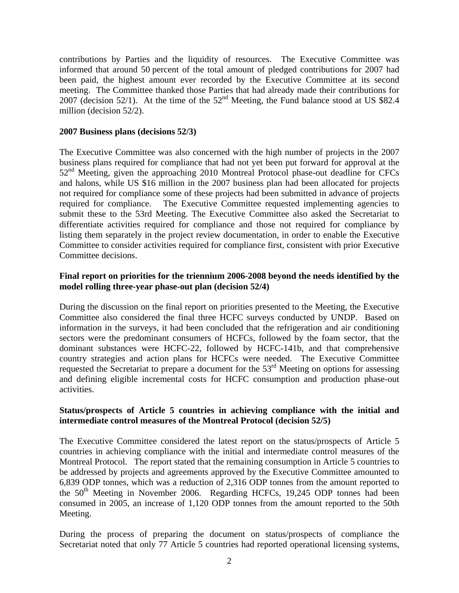contributions by Parties and the liquidity of resources. The Executive Committee was informed that around 50 percent of the total amount of pledged contributions for 2007 had been paid, the highest amount ever recorded by the Executive Committee at its second meeting. The Committee thanked those Parties that had already made their contributions for 2007 (decision 52/1). At the time of the  $52<sup>nd</sup>$  Meeting, the Fund balance stood at US \$82.4 million (decision 52/2).

#### **2007 Business plans (decisions 52/3)**

The Executive Committee was also concerned with the high number of projects in the 2007 business plans required for compliance that had not yet been put forward for approval at the  $52<sup>nd</sup>$  Meeting, given the approaching 2010 Montreal Protocol phase-out deadline for CFCs and halons, while US \$16 million in the 2007 business plan had been allocated for projects not required for compliance some of these projects had been submitted in advance of projects required for compliance. The Executive Committee requested implementing agencies to submit these to the 53rd Meeting. The Executive Committee also asked the Secretariat to differentiate activities required for compliance and those not required for compliance by listing them separately in the project review documentation, in order to enable the Executive Committee to consider activities required for compliance first, consistent with prior Executive Committee decisions.

# **Final report on priorities for the triennium 2006-2008 beyond the needs identified by the model rolling three-year phase-out plan (decision 52/4)**

During the discussion on the final report on priorities presented to the Meeting, the Executive Committee also considered the final three HCFC surveys conducted by UNDP. Based on information in the surveys, it had been concluded that the refrigeration and air conditioning sectors were the predominant consumers of HCFCs, followed by the foam sector, that the dominant substances were HCFC-22, followed by HCFC-141b, and that comprehensive country strategies and action plans for HCFCs were needed. The Executive Committee requested the Secretariat to prepare a document for the 53<sup>rd</sup> Meeting on options for assessing and defining eligible incremental costs for HCFC consumption and production phase-out activities.

#### **Status/prospects of Article 5 countries in achieving compliance with the initial and intermediate control measures of the Montreal Protocol (decision 52/5)**

The Executive Committee considered the latest report on the status/prospects of Article 5 countries in achieving compliance with the initial and intermediate control measures of the Montreal Protocol. The report stated that the remaining consumption in Article 5 countries to be addressed by projects and agreements approved by the Executive Committee amounted to 6,839 ODP tonnes, which was a reduction of 2,316 ODP tonnes from the amount reported to the  $50<sup>th</sup>$  Meeting in November 2006. Regarding HCFCs, 19,245 ODP tonnes had been consumed in 2005, an increase of 1,120 ODP tonnes from the amount reported to the 50th Meeting.

During the process of preparing the document on status/prospects of compliance the Secretariat noted that only 77 Article 5 countries had reported operational licensing systems,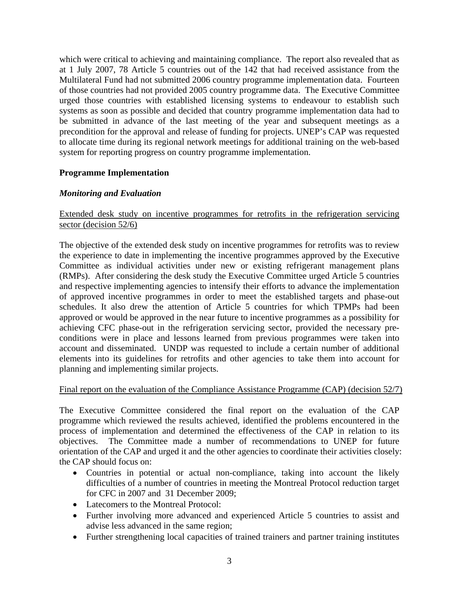which were critical to achieving and maintaining compliance. The report also revealed that as at 1 July 2007, 78 Article 5 countries out of the 142 that had received assistance from the Multilateral Fund had not submitted 2006 country programme implementation data. Fourteen of those countries had not provided 2005 country programme data. The Executive Committee urged those countries with established licensing systems to endeavour to establish such systems as soon as possible and decided that country programme implementation data had to be submitted in advance of the last meeting of the year and subsequent meetings as a precondition for the approval and release of funding for projects. UNEP's CAP was requested to allocate time during its regional network meetings for additional training on the web-based system for reporting progress on country programme implementation.

# **Programme Implementation**

# *Monitoring and Evaluation*

# Extended desk study on incentive programmes for retrofits in the refrigeration servicing sector (decision 52/6)

The objective of the extended desk study on incentive programmes for retrofits was to review the experience to date in implementing the incentive programmes approved by the Executive Committee as individual activities under new or existing refrigerant management plans (RMPs). After considering the desk study the Executive Committee urged Article 5 countries and respective implementing agencies to intensify their efforts to advance the implementation of approved incentive programmes in order to meet the established targets and phase-out schedules. It also drew the attention of Article 5 countries for which TPMPs had been approved or would be approved in the near future to incentive programmes as a possibility for achieving CFC phase-out in the refrigeration servicing sector, provided the necessary preconditions were in place and lessons learned from previous programmes were taken into account and disseminated. UNDP was requested to include a certain number of additional elements into its guidelines for retrofits and other agencies to take them into account for planning and implementing similar projects.

#### Final report on the evaluation of the Compliance Assistance Programme (CAP) (decision 52/7)

The Executive Committee considered the final report on the evaluation of the CAP programme which reviewed the results achieved, identified the problems encountered in the process of implementation and determined the effectiveness of the CAP in relation to its objectives. The Committee made a number of recommendations to UNEP for future orientation of the CAP and urged it and the other agencies to coordinate their activities closely: the CAP should focus on:

- Countries in potential or actual non-compliance, taking into account the likely difficulties of a number of countries in meeting the Montreal Protocol reduction target for CFC in 2007 and 31 December 2009;
- Latecomers to the Montreal Protocol:
- Further involving more advanced and experienced Article 5 countries to assist and advise less advanced in the same region;
- Further strengthening local capacities of trained trainers and partner training institutes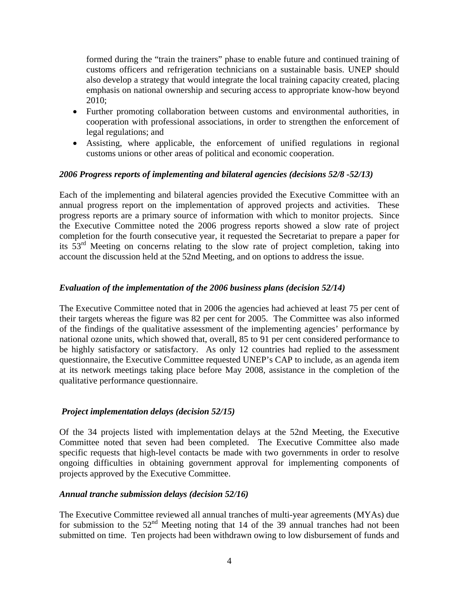formed during the "train the trainers" phase to enable future and continued training of customs officers and refrigeration technicians on a sustainable basis. UNEP should also develop a strategy that would integrate the local training capacity created, placing emphasis on national ownership and securing access to appropriate know-how beyond 2010;

- Further promoting collaboration between customs and environmental authorities, in cooperation with professional associations, in order to strengthen the enforcement of legal regulations; and
- Assisting, where applicable, the enforcement of unified regulations in regional customs unions or other areas of political and economic cooperation.

#### *2006 Progress reports of implementing and bilateral agencies (decisions 52/8 -52/13)*

Each of the implementing and bilateral agencies provided the Executive Committee with an annual progress report on the implementation of approved projects and activities. These progress reports are a primary source of information with which to monitor projects. Since the Executive Committee noted the 2006 progress reports showed a slow rate of project completion for the fourth consecutive year, it requested the Secretariat to prepare a paper for its  $53<sup>rd</sup>$  Meeting on concerns relating to the slow rate of project completion, taking into account the discussion held at the 52nd Meeting, and on options to address the issue.

# *Evaluation of the implementation of the 2006 business plans (decision 52/14)*

The Executive Committee noted that in 2006 the agencies had achieved at least 75 per cent of their targets whereas the figure was 82 per cent for 2005. The Committee was also informed of the findings of the qualitative assessment of the implementing agencies' performance by national ozone units, which showed that, overall, 85 to 91 per cent considered performance to be highly satisfactory or satisfactory. As only 12 countries had replied to the assessment questionnaire, the Executive Committee requested UNEP's CAP to include, as an agenda item at its network meetings taking place before May 2008, assistance in the completion of the qualitative performance questionnaire.

#### *Project implementation delays (decision 52/15)*

Of the 34 projects listed with implementation delays at the 52nd Meeting, the Executive Committee noted that seven had been completed. The Executive Committee also made specific requests that high-level contacts be made with two governments in order to resolve ongoing difficulties in obtaining government approval for implementing components of projects approved by the Executive Committee.

#### *Annual tranche submission delays (decision 52/16)*

The Executive Committee reviewed all annual tranches of multi-year agreements (MYAs) due for submission to the  $52<sup>nd</sup>$  Meeting noting that 14 of the 39 annual tranches had not been submitted on time. Ten projects had been withdrawn owing to low disbursement of funds and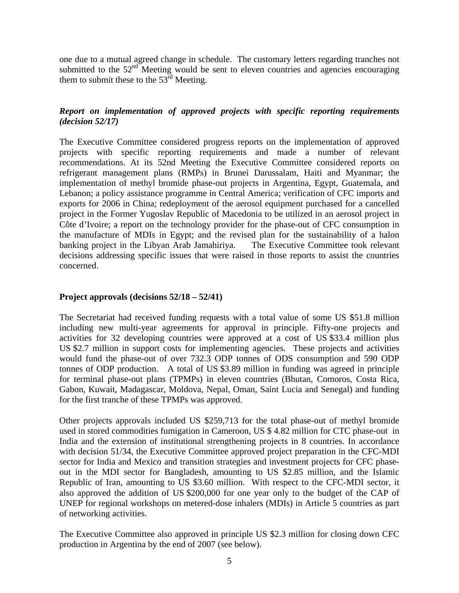one due to a mutual agreed change in schedule. The customary letters regarding tranches not submitted to the  $52<sup>nd</sup>$  Meeting would be sent to eleven countries and agencies encouraging them to submit these to the  $53<sup>rd</sup>$  Meeting.

# *Report on implementation of approved projects with specific reporting requirements (decision 52/17)*

The Executive Committee considered progress reports on the implementation of approved projects with specific reporting requirements and made a number of relevant recommendations. At its 52nd Meeting the Executive Committee considered reports on refrigerant management plans (RMPs) in Brunei Darussalam, Haiti and Myanmar; the implementation of methyl bromide phase-out projects in Argentina, Egypt, Guatemala, and Lebanon; a policy assistance programme in Central America; verification of CFC imports and exports for 2006 in China; redeployment of the aerosol equipment purchased for a cancelled project in the Former Yugoslav Republic of Macedonia to be utilized in an aerosol project in Côte d'Ivoire; a report on the technology provider for the phase-out of CFC consumption in the manufacture of MDIs in Egypt; and the revised plan for the sustainability of a halon banking project in the Libyan Arab Jamahiriya. The Executive Committee took relevant decisions addressing specific issues that were raised in those reports to assist the countries concerned.

# **Project approvals (decisions 52/18 – 52/41)**

The Secretariat had received funding requests with a total value of some US \$51.8 million including new multi-year agreements for approval in principle. Fifty-one projects and activities for 32 developing countries were approved at a cost of US \$33.4 million plus US \$2.7 million in support costs for implementing agencies. These projects and activities would fund the phase-out of over 732.3 ODP tonnes of ODS consumption and 590 ODP tonnes of ODP production. A total of US \$3.89 million in funding was agreed in principle for terminal phase-out plans (TPMPs) in eleven countries (Bhutan, Comoros, Costa Rica, Gabon, Kuwait, Madagascar, Moldova, Nepal, Oman, Saint Lucia and Senegal) and funding for the first tranche of these TPMPs was approved.

Other projects approvals included US \$259,713 for the total phase-out of methyl bromide used in stored commodities fumigation in Cameroon, US \$ 4.82 million for CTC phase-out in India and the extension of institutional strengthening projects in 8 countries. In accordance with decision 51/34, the Executive Committee approved project preparation in the CFC-MDI sector for India and Mexico and transition strategies and investment projects for CFC phaseout in the MDI sector for Bangladesh, amounting to US \$2.85 million, and the Islamic Republic of Iran, amounting to US \$3.60 million. With respect to the CFC-MDI sector, it also approved the addition of US \$200,000 for one year only to the budget of the CAP of UNEP for regional workshops on metered-dose inhalers (MDIs) in Article 5 countries as part of networking activities.

The Executive Committee also approved in principle US \$2.3 million for closing down CFC production in Argentina by the end of 2007 (see below).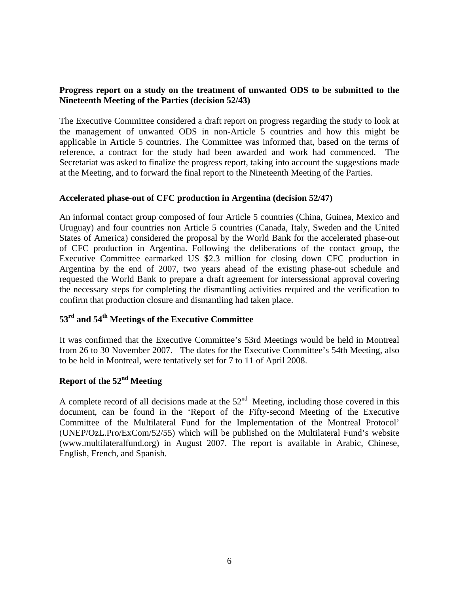# **Progress report on a study on the treatment of unwanted ODS to be submitted to the Nineteenth Meeting of the Parties (decision 52/43)**

The Executive Committee considered a draft report on progress regarding the study to look at the management of unwanted ODS in non-Article 5 countries and how this might be applicable in Article 5 countries. The Committee was informed that, based on the terms of reference, a contract for the study had been awarded and work had commenced. The Secretariat was asked to finalize the progress report, taking into account the suggestions made at the Meeting, and to forward the final report to the Nineteenth Meeting of the Parties.

# **Accelerated phase-out of CFC production in Argentina (decision 52/47)**

An informal contact group composed of four Article 5 countries (China, Guinea, Mexico and Uruguay) and four countries non Article 5 countries (Canada, Italy, Sweden and the United States of America) considered the proposal by the World Bank for the accelerated phase-out of CFC production in Argentina. Following the deliberations of the contact group, the Executive Committee earmarked US \$2.3 million for closing down CFC production in Argentina by the end of 2007, two years ahead of the existing phase-out schedule and requested the World Bank to prepare a draft agreement for intersessional approval covering the necessary steps for completing the dismantling activities required and the verification to confirm that production closure and dismantling had taken place.

# **53rd and 54th Meetings of the Executive Committee**

It was confirmed that the Executive Committee's 53rd Meetings would be held in Montreal from 26 to 30 November 2007. The dates for the Executive Committee's 54th Meeting, also to be held in Montreal, were tentatively set for 7 to 11 of April 2008.

# **Report of the 52nd Meeting**

A complete record of all decisions made at the  $52<sup>nd</sup>$  Meeting, including those covered in this document, can be found in the 'Report of the Fifty-second Meeting of the Executive Committee of the Multilateral Fund for the Implementation of the Montreal Protocol' (UNEP/OzL.Pro/ExCom/52/55) which will be published on the Multilateral Fund's website (www.multilateralfund.org) in August 2007. The report is available in Arabic, Chinese, English, French, and Spanish.